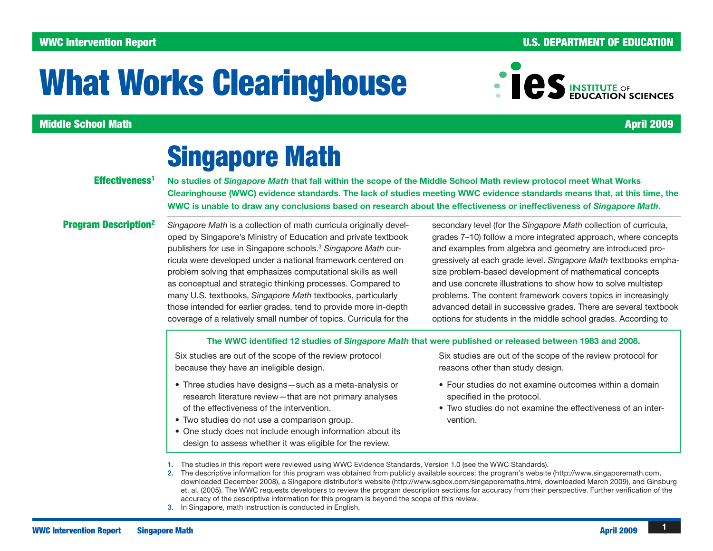### WWC Intervention Report **And The Contract of Contract Contract Contract Contract Contract Contract Contract Contract Contract Contract Contract Contract Contract Contract Contract Contract Contract Contract Contract Contra**

# What Works Clearinghouse

### Middle School Math April 2009

## Singapore Math

#### Effectiveness<sup>1</sup>

No studies of Singapore Math that fall within the scope of the Middle School Math review protocol meet What Works Clearinghouse (WWC) evidence standards. The lack of studies meeting WWC evidence standards means that, at this time, the WWC is unable to draw any conclusions based on research about the effectiveness or ineffectiveness of Singapore Math.

### Program Description<sup>2</sup>

*Singapore Math* is a collection of math curricula originally developed by Singapore's Ministry of Education and private textbook publishers for use in Singapore schools.<sup>3</sup> *Singapore Math* curricula were developed under a national framework centered on problem solving that emphasizes computational skills as well as conceptual and strategic thinking processes. Compared to many U.S. textbooks, *Singapore Math* textbooks, particularly those intended for earlier grades, tend to provide more in-depth coverage of a relatively small number of topics. Curricula for the

secondary level (for the *Singapore Math* collection of curricula, grades 7–10) follow a more integrated approach, where concepts and examples from algebra and geometry are introduced progressively at each grade level. *Singapore Math* textbooks emphasize problem-based development of mathematical concepts and use concrete illustrations to show how to solve multistep problems. The content framework covers topics in increasingly advanced detail in successive grades. There are several textbook options for students in the middle school grades. According to

#### The WWC identified 12 studies of Singapore Math that were published or released between 1983 and 2008.

Six studies are out of the scope of the review protocol because they have an ineligible design.

- Three studies have designs such as a meta-analysis or research literature review—that are not primary analyses of the effectiveness of the intervention.
- Two studies do not use a comparison group.
- One study does not include enough information about its design to assess whether it was eligible for the review.

Six studies are out of the scope of the review protocol for reasons other than study design.

- Four studies do not examine outcomes within a domain specified in the protocol.
- Two studies do not examine the effectiveness of an intervention.
- 1. The studies in this report were reviewed using WWC Evidence Standards, Version 1.0 (see the<WWC Standards>).
- 2. The descriptive information for this program was obtained from publicly available sources: the program's website (<http://www.singaporemath.com>, downloaded December 2008), a Singapore distributor's website ([http://www.sgbox.com/singaporemaths.html,](http://www.sgbox.com/singaporemaths.html) downloaded March 2009), and Ginsburg et. al. (2005). The WWC requests developers to review the program description sections for accuracy from their perspective. Further verification of the accuracy of the descriptive information for this program is beyond the scope of this review.
- 3. In Singapore, math instruction is conducted in English.